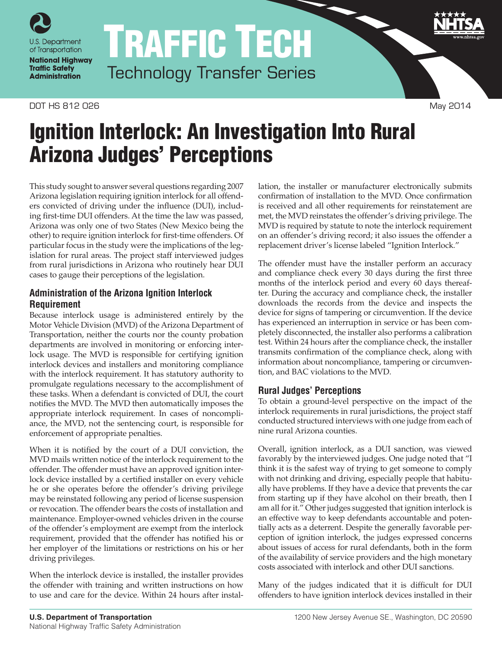

TRAFFIC TECH Technology Transfer Series

#### DOT HS 812 026 May 2014

# Ignition Interlock: An Investigation Into Rural Arizona Judges' Perceptions

This study sought to answer several questions regarding 2007 Arizona legislation requiring ignition interlock for all offenders convicted of driving under the influence (DUI), including first-time DUI offenders. At the time the law was passed, Arizona was only one of two States (New Mexico being the other) to require ignition interlock for first-time offenders. Of particular focus in the study were the implications of the legislation for rural areas. The project staff interviewed judges from rural jurisdictions in Arizona who routinely hear DUI cases to gauge their perceptions of the legislation.

## **Administration of the Arizona Ignition Interlock Requirement**

Because interlock usage is administered entirely by the Motor Vehicle Division (MVD) of the Arizona Department of Transportation, neither the courts nor the county probation departments are involved in monitoring or enforcing interlock usage. The MVD is responsible for certifying ignition interlock devices and installers and monitoring compliance with the interlock requirement. It has statutory authority to promulgate regulations necessary to the accomplishment of these tasks. When a defendant is convicted of DUI, the court notifies the MVD. The MVD then automatically imposes the appropriate interlock requirement. In cases of noncompliance, the MVD, not the sentencing court, is responsible for enforcement of appropriate penalties.

When it is notified by the court of a DUI conviction, the MVD mails written notice of the interlock requirement to the offender. The offender must have an approved ignition interlock device installed by a certified installer on every vehicle he or she operates before the offender's driving privilege may be reinstated following any period of license suspension or revocation. The offender bears the costs of installation and maintenance. Employer-owned vehicles driven in the course of the offender's employment are exempt from the interlock requirement, provided that the offender has notified his or her employer of the limitations or restrictions on his or her driving privileges.

When the interlock device is installed, the installer provides the offender with training and written instructions on how to use and care for the device. Within 24 hours after installation, the installer or manufacturer electronically submits confirmation of installation to the MVD. Once confirmation is received and all other requirements for reinstatement are met, the MVD reinstates the offender's driving privilege. The MVD is required by statute to note the interlock requirement on an offender's driving record; it also issues the offender a replacement driver's license labeled "Ignition Interlock."

The offender must have the installer perform an accuracy and compliance check every 30 days during the first three months of the interlock period and every 60 days thereafter. During the accuracy and compliance check, the installer downloads the records from the device and inspects the device for signs of tampering or circumvention. If the device has experienced an interruption in service or has been completely disconnected, the installer also performs a calibration test. Within 24 hours after the compliance check, the installer transmits confirmation of the compliance check, along with information about noncompliance, tampering or circumvention, and BAC violations to the MVD.

## **Rural Judges' Perceptions**

To obtain a ground-level perspective on the impact of the interlock requirements in rural jurisdictions, the project staff conducted structured interviews with one judge from each of nine rural Arizona counties.

Overall, ignition interlock, as a DUI sanction, was viewed favorably by the interviewed judges. One judge noted that "I think it is the safest way of trying to get someone to comply with not drinking and driving, especially people that habitually have problems. If they have a device that prevents the car from starting up if they have alcohol on their breath, then I am all for it." Other judges suggested that ignition interlock is an effective way to keep defendants accountable and potentially acts as a deterrent. Despite the generally favorable perception of ignition interlock, the judges expressed concerns about issues of access for rural defendants, both in the form of the availability of service providers and the high monetary costs associated with interlock and other DUI sanctions.

Many of the judges indicated that it is difficult for DUI offenders to have ignition interlock devices installed in their